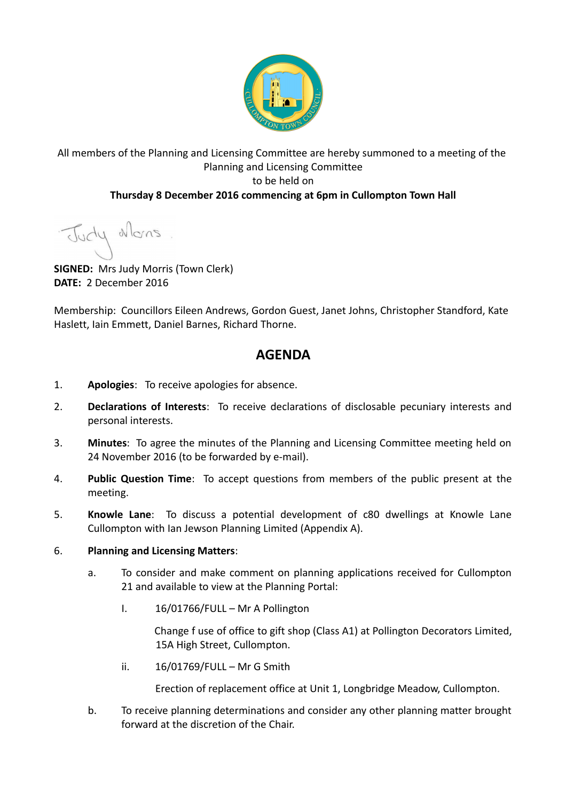

## All members of the Planning and Licensing Committee are hereby summoned to a meeting of the Planning and Licensing Committee to be held on **Thursday 8 December 2016 commencing at 6pm in Cullompton Town Hall**

Judy Mans

**SIGNED:** Mrs Judy Morris (Town Clerk) **DATE:** 2 December 2016

Membership: Councillors Eileen Andrews, Gordon Guest, Janet Johns, Christopher Standford, Kate Haslett, Iain Emmett, Daniel Barnes, Richard Thorne.

## **AGENDA**

- 1. **Apologies**: To receive apologies for absence.
- 2. **Declarations of Interests**: To receive declarations of disclosable pecuniary interests and personal interests.
- 3. **Minutes**: To agree the minutes of the Planning and Licensing Committee meeting held on 24 November 2016 (to be forwarded by e-mail).
- 4. **Public Question Time**: To accept questions from members of the public present at the meeting.
- 5. **Knowle Lane**: To discuss a potential development of c80 dwellings at Knowle Lane Cullompton with Ian Jewson Planning Limited (Appendix A).

## 6. **Planning and Licensing Matters**:

- a. To consider and make comment on planning applications received for Cullompton 21 and available to view at the Planning Portal:
	- I. 16/01766/FULL Mr A Pollington

Change f use of office to gift shop (Class A1) at Pollington Decorators Limited, 15A High Street, Cullompton.

ii. 16/01769/FULL – Mr G Smith

Erection of replacement office at Unit 1, Longbridge Meadow, Cullompton.

b. To receive planning determinations and consider any other planning matter brought forward at the discretion of the Chair.